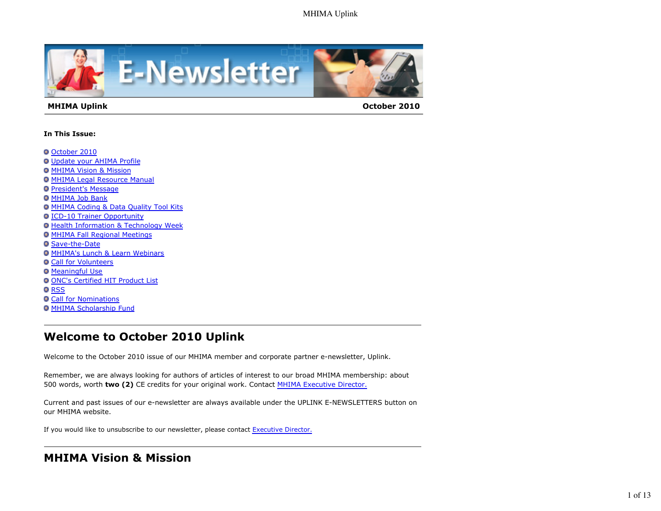

#### **MHIMA Uplink October 2010**

#### **In This Issue:**

- October 2010
- Update your AHIMA Profile
- **MHIMA Vision & Mission**
- MHIMA Legal Resource Manual
- **President's Message**
- **O MHIMA Job Bank**
- MHIMA Coding & Data Quality Tool Kits
- **ICD-10 Trainer Opportunity**
- **Health Information & Technology Week**
- **O MHIMA Fall Regional Meetings**
- **O** Save-the-Date
- **O MHIMA's Lunch & Learn Webinars**
- **O Call for Volunteers**
- **O** Meaningful Use
- ONC's Certified HIT Product List
- **O**RSS
- **O Call for Nominations**
- **MHIMA Scholarship Fund**

## **Welcome to October 2010 Uplink**

Welcome to the October 2010 issue of our MHIMA member and corporate partner e-newsletter, Uplink.

Remember, we are always looking for authors of articles of interest to our broad MHIMA membership: about 500 words, worth **two (2)** CE credits for your original work. Contact MHIMA Executive Director.

Current and past issues of our e-newsletter are always available under the UPLINK E-NEWSLETTERS button on our MHIMA website.

If you would like to unsubscribe to our newsletter, please contact Executive Director.

# **MHIMA Vision & Mission**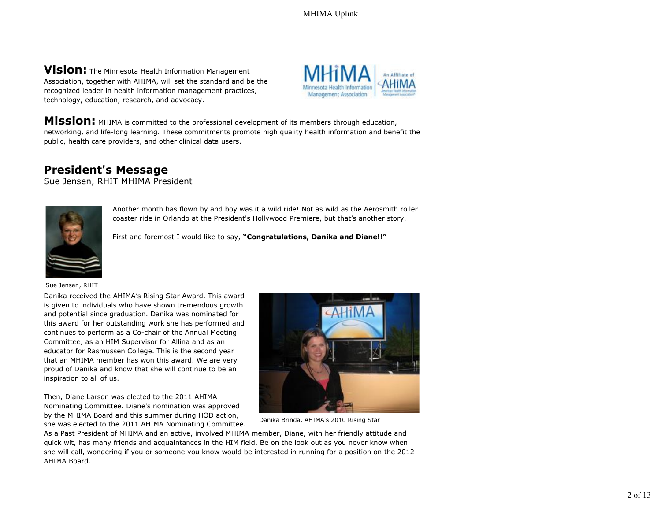**Vision:** The Minnesota Health Information Management Association, together with AHIMA, will set the standard and be the recognized leader in health information management practices, technology, education, research, and advocacy.



**Mission:** MHIMA is committed to the professional development of its members through education, networking, and life-long learning. These commitments promote high quality health information and benefit the public, health care providers, and other clinical data users.

## **President's Message**

Sue Jensen, RHIT MHIMA President



Another month has flown by and boy was it a wild ride! Not as wild as the Aerosmith roller coaster ride in Orlando at the President's Hollywood Premiere, but that's another story.

First and foremost I would like to say, **"Congratulations, Danika and Diane!!"**

Sue Jensen, RHIT

Danika received the AHIMA's Rising Star Award. This award is given to individuals who have shown tremendous growth and potential since graduation. Danika was nominated for this award for her outstanding work she has performed and continues to perform as a Co-chair of the Annual Meeting Committee, as an HIM Supervisor for Allina and as an educator for Rasmussen College. This is the second year that an MHIMA member has won this award. We are very proud of Danika and know that she will continue to be an inspiration to all of us.

Then, Diane Larson was elected to the 2011 AHIMA Nominating Committee. Diane's nomination was approved by the MHIMA Board and this summer during HOD action, she was elected to the 2011 AHIMA Nominating Committee.



Danika Brinda, AHIMA's 2010 Rising Star

As a Past President of MHIMA and an active, involved MHIMA member, Diane, with her friendly attitude and quick wit, has many friends and acquaintances in the HIM field. Be on the look out as you never know when she will call, wondering if you or someone you know would be interested in running for a position on the 2012 AHIMA Board.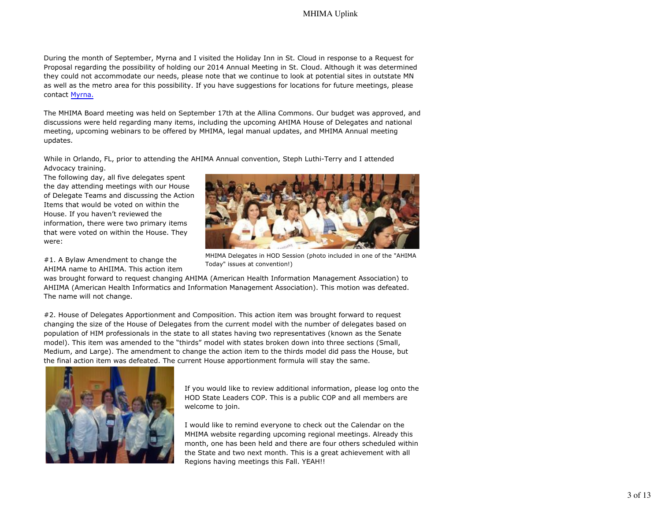During the month of September, Myrna and I visited the Holiday Inn in St. Cloud in response to a Request for Proposal regarding the possibility of holding our 2014 Annual Meeting in St. Cloud. Although it was determined they could not accommodate our needs, please note that we continue to look at potential sites in outstate MN as well as the metro area for this possibility. If you have suggestions for locations for future meetings, please contact Myrna.

The MHIMA Board meeting was held on September 17th at the Allina Commons. Our budget was approved, and discussions were held regarding many items, including the upcoming AHIMA House of Delegates and national meeting, upcoming webinars to be offered by MHIMA, legal manual updates, and MHIMA Annual meeting updates.

While in Orlando, FL, prior to attending the AHIMA Annual convention, Steph Luthi-Terry and I attended Advocacy training.

The following day, all five delegates spent the day attending meetings with our House of Delegate Teams and discussing the Action Items that would be voted on within the House. If you haven't reviewed the information, there were two primary items that were voted on within the House. They were:

#1. A Bylaw Amendment to change the AHIMA name to AHIIMA. This action item



MHIMA Delegates in HOD Session (photo included in one of the "AHIMA Today" issues at convention!)

was brought forward to request changing AHIMA (American Health Information Management Association) to AHIIMA (American Health Informatics and Information Management Association). This motion was defeated. The name will not change.

#2. House of Delegates Apportionment and Composition. This action item was brought forward to request changing the size of the House of Delegates from the current model with the number of delegates based on population of HIM professionals in the state to all states having two representatives (known as the Senate model). This item was amended to the "thirds" model with states broken down into three sections (Small, Medium, and Large). The amendment to change the action item to the thirds model did pass the House, but the final action item was defeated. The current House apportionment formula will stay the same.



If you would like to review additional information, please log onto the HOD State Leaders COP. This is a public COP and all members are welcome to join.

I would like to remind everyone to check out the Calendar on the MHIMA website regarding upcoming regional meetings. Already this month, one has been held and there are four others scheduled within the State and two next month. This is a great achievement with all Regions having meetings this Fall. YEAH!!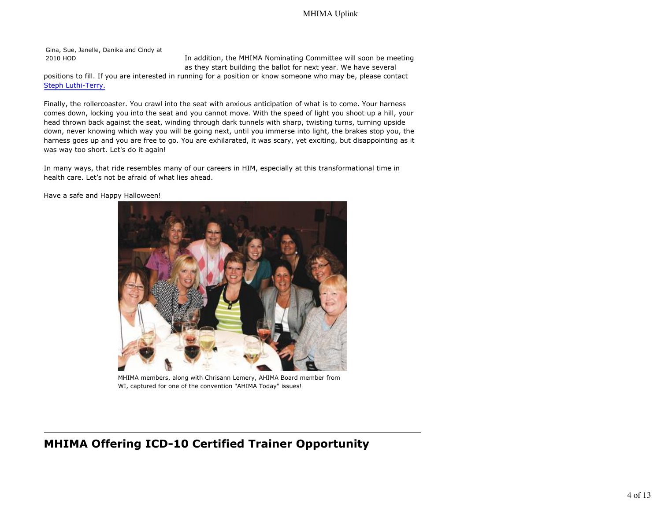Gina, Sue, Janelle, Danika and Cindy at

2010 HOD In addition, the MHIMA Nominating Committee will soon be meeting as they start building the ballot for next year. We have several

positions to fill. If you are interested in running for a position or know someone who may be, please contact Steph Luthi-Terry.

Finally, the rollercoaster. You crawl into the seat with anxious anticipation of what is to come. Your harness comes down, locking you into the seat and you cannot move. With the speed of light you shoot up a hill, your head thrown back against the seat, winding through dark tunnels with sharp, twisting turns, turning upside down, never knowing which way you will be going next, until you immerse into light, the brakes stop you, the harness goes up and you are free to go. You are exhilarated, it was scary, yet exciting, but disappointing as it was way too short. Let's do it again!

In many ways, that ride resembles many of our careers in HIM, especially at this transformational time in health care. Let's not be afraid of what lies ahead.

Have a safe and Happy Halloween!



MHIMA members, along with Chrisann Lemery, AHIMA Board member from WI, captured for one of the convention "AHIMA Today" issues!

## **MHIMA Offering ICD-10 Certified Trainer Opportunity**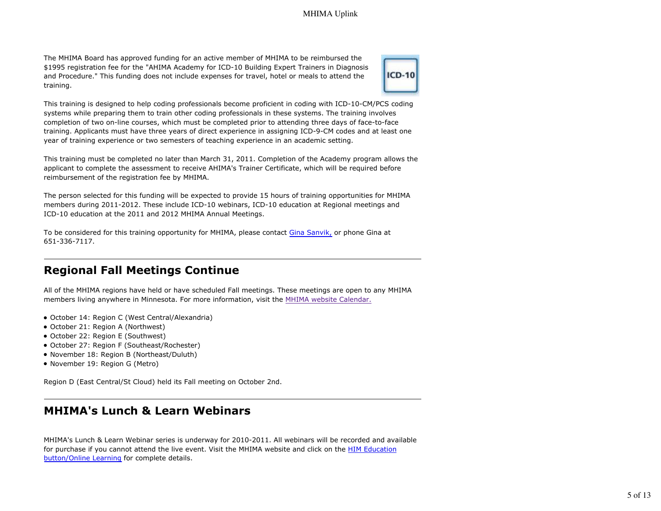The MHIMA Board has approved funding for an active member of MHIMA to be reimbursed the \$1995 registration fee for the "AHIMA Academy for ICD-10 Building Expert Trainers in Diagnosis and Procedure." This funding does not include expenses for travel, hotel or meals to attend the training.



This training is designed to help coding professionals become proficient in coding with ICD-10-CM/PCS coding systems while preparing them to train other coding professionals in these systems. The training involves completion of two on-line courses, which must be completed prior to attending three days of face-to-face training. Applicants must have three years of direct experience in assigning ICD-9-CM codes and at least one year of training experience or two semesters of teaching experience in an academic setting.

This training must be completed no later than March 31, 2011. Completion of the Academy program allows the applicant to complete the assessment to receive AHIMA's Trainer Certificate, which will be required before reimbursement of the registration fee by MHIMA.

The person selected for this funding will be expected to provide 15 hours of training opportunities for MHIMA members during 2011-2012. These include ICD-10 webinars, ICD-10 education at Regional meetings and ICD-10 education at the 2011 and 2012 MHIMA Annual Meetings.

To be considered for this training opportunity for MHIMA, please contact Gina Sanvik, or phone Gina at 651-336-7117.

## **Regional Fall Meetings Continue**

All of the MHIMA regions have held or have scheduled Fall meetings. These meetings are open to any MHIMA members living anywhere in Minnesota. For more information, visit the MHIMA website Calendar.

- October 14: Region C (West Central/Alexandria)
- October 21: Region A (Northwest)
- October 22: Region E (Southwest)
- October 27: Region F (Southeast/Rochester)
- November 18: Region B (Northeast/Duluth)
- November 19: Region G (Metro)

Region D (East Central/St Cloud) held its Fall meeting on October 2nd.

## **MHIMA's Lunch & Learn Webinars**

MHIMA's Lunch & Learn Webinar series is underway for 2010-2011. All webinars will be recorded and available for purchase if you cannot attend the live event. Visit the MHIMA website and click on the HIM Education button/Online Learning for complete details.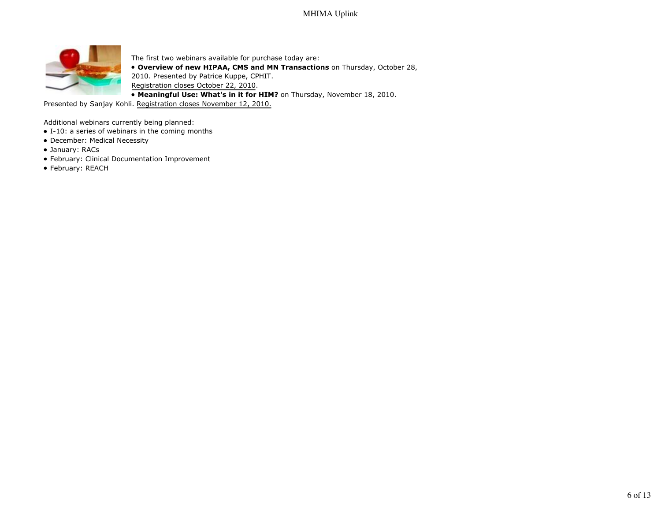

The first two webinars available for purchase today are: **Overview of new HIPAA, CMS and MN Transactions** on Thursday, October 28, 2010. Presented by Patrice Kuppe, CPHIT. Registration closes October 22, 2010. **Meaningful Use: What's in it for HIM?** on Thursday, November 18, 2010.

Presented by Sanjay Kohli. Registration closes November 12, 2010.

Additional webinars currently being planned:

- I-10: a series of webinars in the coming months
- December: Medical Necessity
- January: RACs
- February: Clinical Documentation Improvement
- February: REACH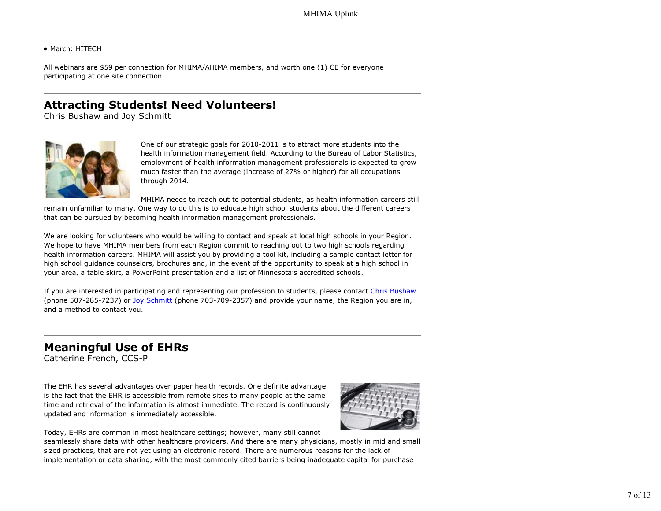• March: HITECH

All webinars are \$59 per connection for MHIMA/AHIMA members, and worth one (1) CE for everyone participating at one site connection.

## **Attracting Students! Need Volunteers!**

Chris Bushaw and Joy Schmitt



One of our strategic goals for 2010-2011 is to attract more students into the health information management field. According to the Bureau of Labor Statistics, employment of health information management professionals is expected to grow much faster than the average (increase of 27% or higher) for all occupations through 2014.

MHIMA needs to reach out to potential students, as health information careers still remain unfamiliar to many. One way to do this is to educate high school students about the different careers that can be pursued by becoming health information management professionals.

We are looking for volunteers who would be willing to contact and speak at local high schools in your Region. We hope to have MHIMA members from each Region commit to reaching out to two high schools regarding health information careers. MHIMA will assist you by providing a tool kit, including a sample contact letter for

high school guidance counselors, brochures and, in the event of the opportunity to speak at a high school in your area, a table skirt, a PowerPoint presentation and a list of Minnesota's accredited schools.

If you are interested in participating and representing our profession to students, please contact Chris Bushaw (phone 507-285-7237) or Joy Schmitt (phone 703-709-2357) and provide your name, the Region you are in, and a method to contact you.

# **Meaningful Use of EHRs**

Catherine French, CCS-P

The EHR has several advantages over paper health records. One definite advantage is the fact that the EHR is accessible from remote sites to many people at the same time and retrieval of the information is almost immediate. The record is continuously updated and information is immediately accessible.



Today, EHRs are common in most healthcare settings; however, many still cannot

seamlessly share data with other healthcare providers. And there are many physicians, mostly in mid and small sized practices, that are not yet using an electronic record. There are numerous reasons for the lack of implementation or data sharing, with the most commonly cited barriers being inadequate capital for purchase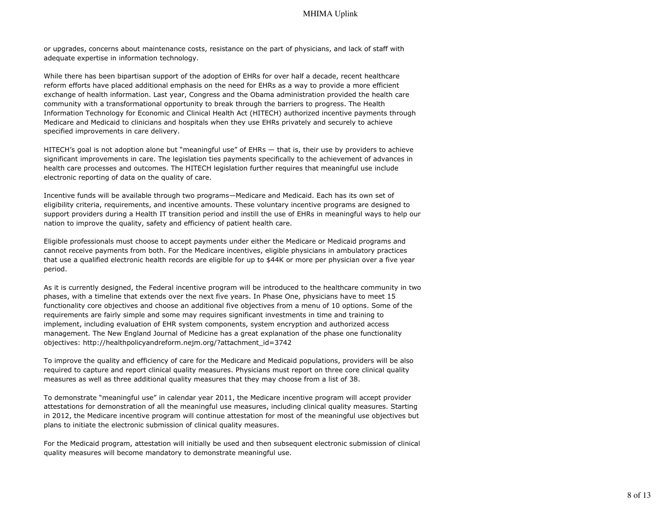or upgrades, concerns about maintenance costs, resistance on the part of physicians, and lack of staff with adequate expertise in information technology.

While there has been bipartisan support of the adoption of EHRs for over half a decade, recent healthcare reform efforts have placed additional emphasis on the need for EHRs as a way to provide a more efficient exchange of health information. Last year, Congress and the Obama administration provided the health care community with a transformational opportunity to break through the barriers to progress. The Health Information Technology for Economic and Clinical Health Act (HITECH) authorized incentive payments through Medicare and Medicaid to clinicians and hospitals when they use EHRs privately and securely to achieve specified improvements in care delivery.

HITECH's goal is not adoption alone but "meaningful use" of EHRs — that is, their use by providers to achieve significant improvements in care. The legislation ties payments specifically to the achievement of advances in health care processes and outcomes. The HITECH legislation further requires that meaningful use include electronic reporting of data on the quality of care.

Incentive funds will be available through two programs—Medicare and Medicaid. Each has its own set of eligibility criteria, requirements, and incentive amounts. These voluntary incentive programs are designed to support providers during a Health IT transition period and instill the use of EHRs in meaningful ways to help our nation to improve the quality, safety and efficiency of patient health care.

Eligible professionals must choose to accept payments under either the Medicare or Medicaid programs and cannot receive payments from both. For the Medicare incentives, eligible physicians in ambulatory practices that use a qualified electronic health records are eligible for up to \$44K or more per physician over a five year period.

As it is currently designed, the Federal incentive program will be introduced to the healthcare community in two phases, with a timeline that extends over the next five years. In Phase One, physicians have to meet 15 functionality core objectives and choose an additional five objectives from a menu of 10 options. Some of the requirements are fairly simple and some may requires significant investments in time and training to implement, including evaluation of EHR system components, system encryption and authorized access management. The New England Journal of Medicine has a great explanation of the phase one functionality objectives: http://healthpolicyandreform.nejm.org/?attachment\_id=3742

To improve the quality and efficiency of care for the Medicare and Medicaid populations, providers will be also required to capture and report clinical quality measures. Physicians must report on three core clinical quality measures as well as three additional quality measures that they may choose from a list of 38.

To demonstrate "meaningful use" in calendar year 2011, the Medicare incentive program will accept provider attestations for demonstration of all the meaningful use measures, including clinical quality measures. Starting in 2012, the Medicare incentive program will continue attestation for most of the meaningful use objectives but plans to initiate the electronic submission of clinical quality measures.

For the Medicaid program, attestation will initially be used and then subsequent electronic submission of clinical quality measures will become mandatory to demonstrate meaningful use.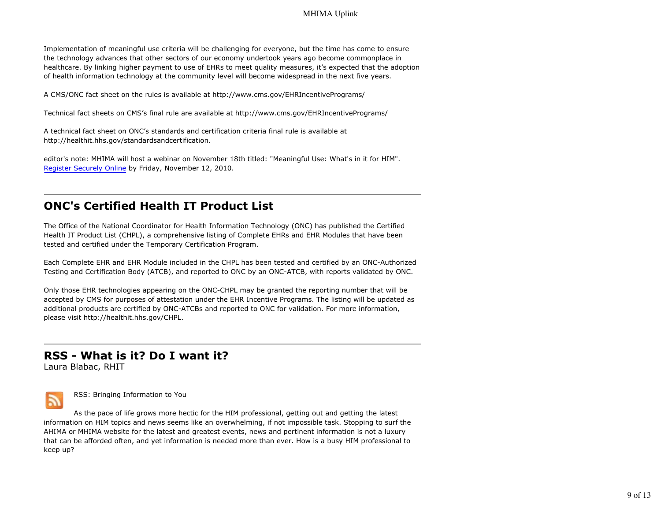Implementation of meaningful use criteria will be challenging for everyone, but the time has come to ensure the technology advances that other sectors of our economy undertook years ago become commonplace in healthcare. By linking higher payment to use of EHRs to meet quality measures, it's expected that the adoption of health information technology at the community level will become widespread in the next five years.

A CMS/ONC fact sheet on the rules is available at http://www.cms.gov/EHRIncentivePrograms/

Technical fact sheets on CMS's final rule are available at http://www.cms.gov/EHRIncentivePrograms/

A technical fact sheet on ONC's standards and certification criteria final rule is available at http://healthit.hhs.gov/standardsandcertification.

editor's note: MHIMA will host a webinar on November 18th titled: "Meaningful Use: What's in it for HIM". Register Securely Online by Friday, November 12, 2010.

## **ONC's Certified Health IT Product List**

The Office of the National Coordinator for Health Information Technology (ONC) has published the Certified Health IT Product List (CHPL), a comprehensive listing of Complete EHRs and EHR Modules that have been tested and certified under the Temporary Certification Program.

Each Complete EHR and EHR Module included in the CHPL has been tested and certified by an ONC-Authorized Testing and Certification Body (ATCB), and reported to ONC by an ONC-ATCB, with reports validated by ONC.

Only those EHR technologies appearing on the ONC-CHPL may be granted the reporting number that will be accepted by CMS for purposes of attestation under the EHR Incentive Programs. The listing will be updated as additional products are certified by ONC-ATCBs and reported to ONC for validation. For more information, please visit http://healthit.hhs.gov/CHPL.

## **RSS - What is it? Do I want it?**

Laura Blabac, RHIT



RSS: Bringing Information to You

As the pace of life grows more hectic for the HIM professional, getting out and getting the latest information on HIM topics and news seems like an overwhelming, if not impossible task. Stopping to surf the AHIMA or MHIMA website for the latest and greatest events, news and pertinent information is not a luxury that can be afforded often, and yet information is needed more than ever. How is a busy HIM professional to keep up?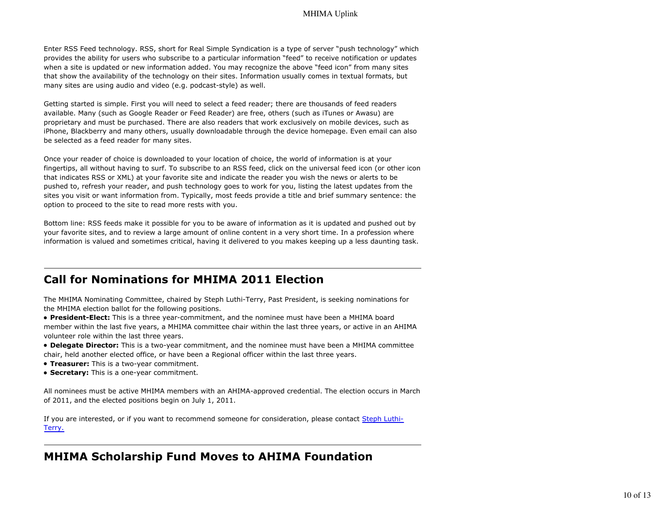Enter RSS Feed technology. RSS, short for Real Simple Syndication is a type of server "push technology" which provides the ability for users who subscribe to a particular information "feed" to receive notification or updates when a site is updated or new information added. You may recognize the above "feed icon" from many sites that show the availability of the technology on their sites. Information usually comes in textual formats, but many sites are using audio and video (e.g. podcast-style) as well.

Getting started is simple. First you will need to select a feed reader; there are thousands of feed readers available. Many (such as Google Reader or Feed Reader) are free, others (such as iTunes or Awasu) are proprietary and must be purchased. There are also readers that work exclusively on mobile devices, such as iPhone, Blackberry and many others, usually downloadable through the device homepage. Even email can also be selected as a feed reader for many sites.

Once your reader of choice is downloaded to your location of choice, the world of information is at your fingertips, all without having to surf. To subscribe to an RSS feed, click on the universal feed icon (or other icon that indicates RSS or XML) at your favorite site and indicate the reader you wish the news or alerts to be pushed to, refresh your reader, and push technology goes to work for you, listing the latest updates from the sites you visit or want information from. Typically, most feeds provide a title and brief summary sentence: the option to proceed to the site to read more rests with you.

Bottom line: RSS feeds make it possible for you to be aware of information as it is updated and pushed out by your favorite sites, and to review a large amount of online content in a very short time. In a profession where information is valued and sometimes critical, having it delivered to you makes keeping up a less daunting task.

## **Call for Nominations for MHIMA 2011 Election**

The MHIMA Nominating Committee, chaired by Steph Luthi-Terry, Past President, is seeking nominations for the MHIMA election ballot for the following positions.

**President-Elect:** This is a three year-commitment, and the nominee must have been a MHIMA board member within the last five years, a MHIMA committee chair within the last three years, or active in an AHIMA volunteer role within the last three years.

- **Delegate Director:** This is a two-year commitment, and the nominee must have been a MHIMA committee chair, held another elected office, or have been a Regional officer within the last three years.
- **Treasurer:** This is a two-year commitment.
- **Secretary:** This is a one-year commitment.

All nominees must be active MHIMA members with an AHIMA-approved credential. The election occurs in March of 2011, and the elected positions begin on July 1, 2011.

If you are interested, or if you want to recommend someone for consideration, please contact Steph Luthi-Terry.

## **MHIMA Scholarship Fund Moves to AHIMA Foundation**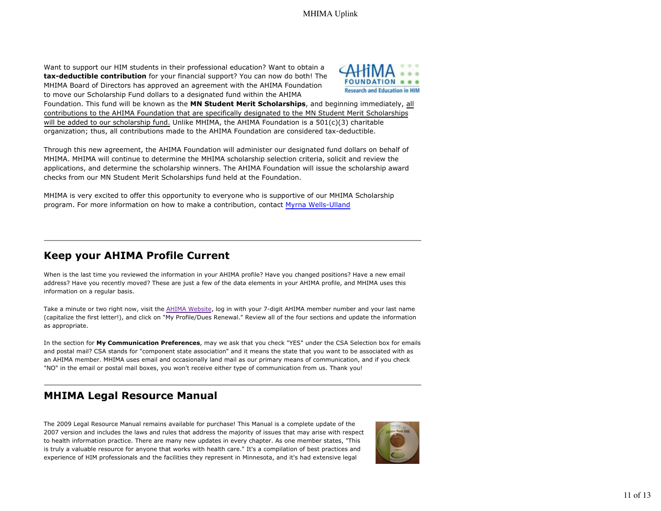Want to support our HIM students in their professional education? Want to obtain a **tax-deductible contribution** for your financial support? You can now do both! The MHIMA Board of Directors has approved an agreement with the AHIMA Foundation to move our Scholarship Fund dollars to a designated fund within the AHIMA



Foundation. This fund will be known as the **MN Student Merit Scholarships**, and beginning immediately, all contributions to the AHIMA Foundation that are specifically designated to the MN Student Merit Scholarships will be added to our scholarship fund. Unlike MHIMA, the AHIMA Foundation is a 501(c)(3) charitable organization; thus, all contributions made to the AHIMA Foundation are considered tax-deductible.

Through this new agreement, the AHIMA Foundation will administer our designated fund dollars on behalf of MHIMA. MHIMA will continue to determine the MHIMA scholarship selection criteria, solicit and review the applications, and determine the scholarship winners. The AHIMA Foundation will issue the scholarship award checks from our MN Student Merit Scholarships fund held at the Foundation.

MHIMA is very excited to offer this opportunity to everyone who is supportive of our MHIMA Scholarship program. For more information on how to make a contribution, contact Myrna Wells-Ulland

### **Keep your AHIMA Profile Current**

When is the last time you reviewed the information in your AHIMA profile? Have you changed positions? Have a new email address? Have you recently moved? These are just a few of the data elements in your AHIMA profile, and MHIMA uses this information on a regular basis.

Take a minute or two right now, visit the AHIMA Website, log in with your 7-digit AHIMA member number and your last name (capitalize the first letter!), and click on "My Profile/Dues Renewal." Review all of the four sections and update the information as appropriate.

In the section for **My Communication Preferences**, may we ask that you check "YES" under the CSA Selection box for emails and postal mail? CSA stands for "component state association" and it means the state that you want to be associated with as an AHIMA member. MHIMA uses email and occasionally land mail as our primary means of communication, and if you check "NO" in the email or postal mail boxes, you won't receive either type of communication from us. Thank you!

## **MHIMA Legal Resource Manual**

The 2009 Legal Resource Manual remains available for purchase! This Manual is a complete update of the 2007 version and includes the laws and rules that address the majority of issues that may arise with respect to health information practice. There are many new updates in every chapter. As one member states, "This is truly a valuable resource for anyone that works with health care." It's a compilation of best practices and experience of HIM professionals and the facilities they represent in Minnesota, and it's had extensive legal

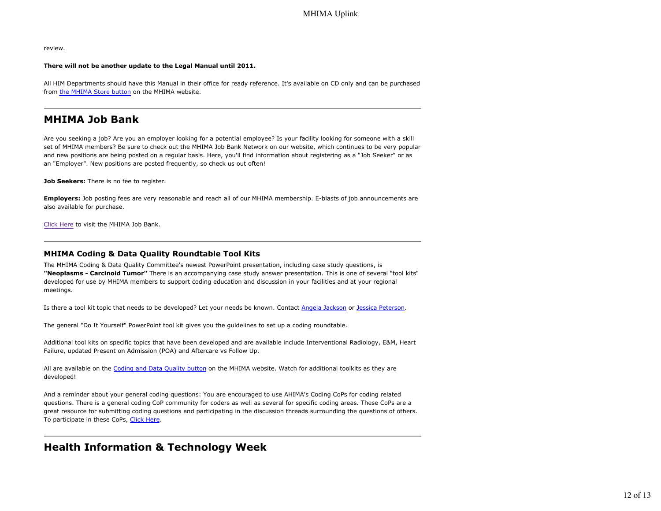review.

#### **There will not be another update to the Legal Manual until 2011.**

All HIM Departments should have this Manual in their office for ready reference. It's available on CD only and can be purchased from the MHIMA Store button on the MHIMA website.

### **MHIMA Job Bank**

Are you seeking a job? Are you an employer looking for a potential employee? Is your facility looking for someone with a skill set of MHIMA members? Be sure to check out the MHIMA Job Bank Network on our website, which continues to be very popular and new positions are being posted on a regular basis. Here, you'll find information about registering as a "Job Seeker" or as an "Employer". New positions are posted frequently, so check us out often!

**Job Seekers:** There is no fee to register.

**Employers:** Job posting fees are very reasonable and reach all of our MHIMA membership. E-blasts of job announcements are also available for purchase.

Click Here to visit the MHIMA Job Bank.

#### **MHIMA Coding & Data Quality Roundtable Tool Kits**

The MHIMA Coding & Data Quality Committee's newest PowerPoint presentation, including case study questions, is **"Neoplasms - Carcinoid Tumor"** There is an accompanying case study answer presentation. This is one of several "tool kits" developed for use by MHIMA members to support coding education and discussion in your facilities and at your regional meetings.

Is there a tool kit topic that needs to be developed? Let your needs be known. Contact Angela Jackson or Jessica Peterson.

The general "Do It Yourself" PowerPoint tool kit gives you the guidelines to set up a coding roundtable.

Additional tool kits on specific topics that have been developed and are available include Interventional Radiology, E&M, Heart Failure, updated Present on Admission (POA) and Aftercare vs Follow Up.

All are available on the Coding and Data Quality button on the MHIMA website. Watch for additional toolkits as they are developed!

And a reminder about your general coding questions: You are encouraged to use AHIMA's Coding CoPs for coding related questions. There is a general coding CoP community for coders as well as several for specific coding areas. These CoPs are a great resource for submitting coding questions and participating in the discussion threads surrounding the questions of others. To participate in these CoPs, Click Here.

### **Health Information & Technology Week**